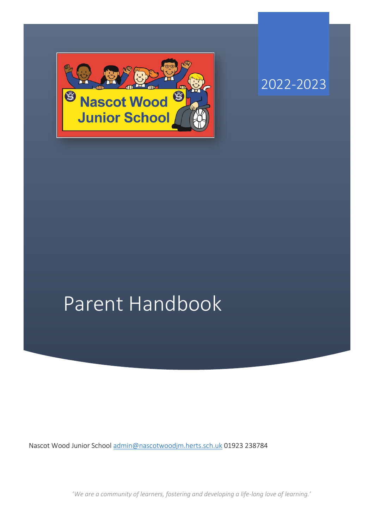

2022-2023

# Parent Handbook

Nascot Wood Junior School [admin@nascotwoodjm.herts.sch.uk](mailto:admin@nascotwoodjm.herts.sch.uk) 01923 238784

'*We are a community of learners, fostering and developing a life-long love of learning.'*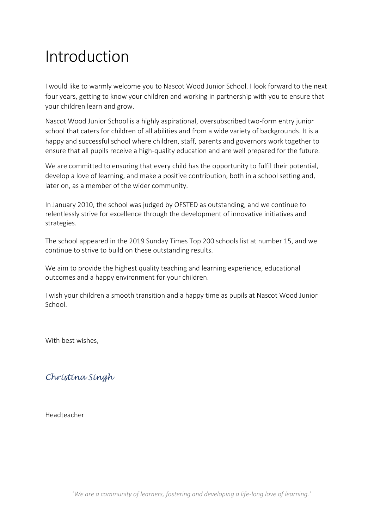## Introduction

I would like to warmly welcome you to Nascot Wood Junior School. I look forward to the next four years, getting to know your children and working in partnership with you to ensure that your children learn and grow.

Nascot Wood Junior School is a highly aspirational, oversubscribed two-form entry junior school that caters for children of all abilities and from a wide variety of backgrounds. It is a happy and successful school where children, staff, parents and governors work together to ensure that all pupils receive a high-quality education and are well prepared for the future.

We are committed to ensuring that every child has the opportunity to fulfil their potential, develop a love of learning, and make a positive contribution, both in a school setting and, later on, as a member of the wider community.

In January 2010, the school was judged by OFSTED as outstanding, and we continue to relentlessly strive for excellence through the development of innovative initiatives and strategies.

The school appeared in the 2019 Sunday Times Top 200 schools list at number 15, and we continue to strive to build on these outstanding results.

We aim to provide the highest quality teaching and learning experience, educational outcomes and a happy environment for your children.

I wish your children a smooth transition and a happy time as pupils at Nascot Wood Junior School.

With best wishes,

## *Christina Singh*

Headteacher

'*We are a community of learners, fostering and developing a life-long love of learning.'*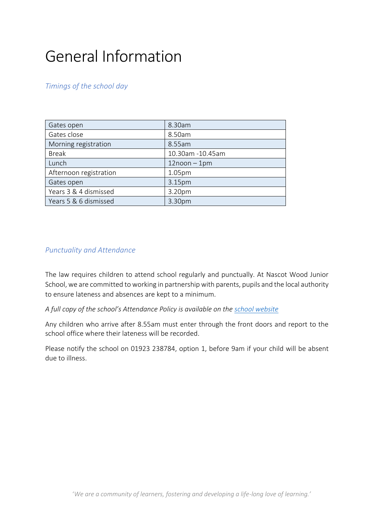## General Information

## *Timings of the school day*

| Gates open             | 8.30am            |
|------------------------|-------------------|
| Gates close            | 8.50am            |
| Morning registration   | 8.55am            |
| <b>Break</b>           | 10.30am -10.45am  |
| Lunch                  | $12$ noon $-1$ pm |
| Afternoon registration | 1.05pm            |
| Gates open             | 3.15pm            |
| Years 3 & 4 dismissed  | 3.20pm            |
| Years 5 & 6 dismissed  | 3.30pm            |

## *Punctuality and Attendance*

The law requires children to attend school regularly and punctually. At Nascot Wood Junior School, we are committed to working in partnership with parents, pupils and the local authority to ensure lateness and absences are kept to a minimum.

*A full copy of the school's Attendance Policy is available on the [school website](https://www.nascotwoodjm.herts.sch.uk/attachments/download.asp?file=3511&type=pdf)*

Any children who arrive after 8.55am must enter through the front doors and report to the school office where their lateness will be recorded.

Please notify the school on 01923 238784, option 1, before 9am if your child will be absent due to illness.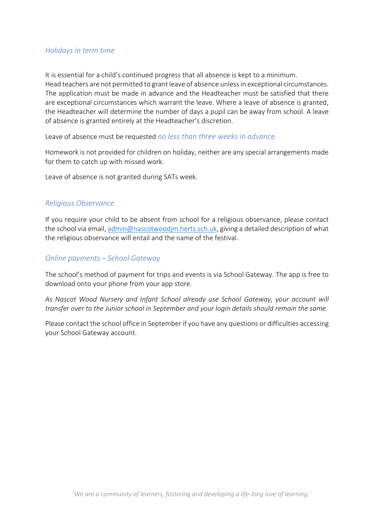#### *Holidays in term time*

It is essential for a child's continued progress that all absence is kept to a minimum. Head teachers are not permitted to grant leave of absence unless in exceptional circumstances. The application must be made in advance and the Headteacher must be satisfied that there are exceptional circumstances which warrant the leave. Where a leave of absence is granted, the Headteacher will determine the number of days a pupil can be away from school. A leave of absence is granted entirely at the Headteacher's discretion.

Leave of absence must be requested *no less than three weeks in advance.*

Homework is not provided for children on holiday, neither are any special arrangements made for them to catch up with missed work.

Leave of absence is not granted during SATs week.

#### *Religious Observance*

If you require your child to be absent from school for a religious observance, please contact the school via email[, admin@nascotwoodjm.herts.sch.uk,](mailto:admin@nascotwoodjm.herts.sch.uk) giving a detailed description of what the religious observance will entail and the name of the festival.

#### *Online payments – School Gateway*

The school's method of payment for trips and events is via School Gateway. The app is free to download onto your phone from your app store.

*As Nascot Wood Nursery and Infant School already use School Gateway, your account will transfer over to the Junior school in September and your login details should remain the same.* 

Please contact the school office in September if you have any questions or difficulties accessing your School Gateway account.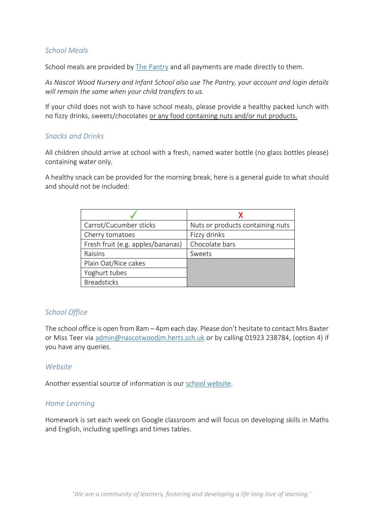#### *School Meals*

School meals are provided by [The Pantry](https://www.thepantrycatering.co.uk/) and all payments are made directly to them.

*As Nascot Wood Nursery and Infant School also use The Pantry, your account and login details will remain the same when your child transfers to us.*

If your child does not wish to have school meals, please provide a healthy packed lunch with no fizzy drinks, sweets/chocolates or any food containing nuts and/or nut products.

#### *Snacks and Drinks*

All children should arrive at school with a fresh, named water bottle (no glass bottles please) containing water only.

A healthy snack can be provided for the morning break, here is a general guide to what should and should not be included:

| Carrot/Cucumber sticks            | Nuts or products containing nuts |
|-----------------------------------|----------------------------------|
| Cherry tomatoes                   | Fizzy drinks                     |
| Fresh fruit (e.g. apples/bananas) | Chocolate bars                   |
| Raisins                           | Sweets                           |
| Plain Oat/Rice cakes              |                                  |
| Yoghurt tubes                     |                                  |
| <b>Breadsticks</b>                |                                  |

#### *School Office*

The school office is open from 8am – 4pm each day. Please don't hesitate to contact Mrs Baxter or Miss Teer via [admin@nascotwoodjm.herts.sch.uk](mailto:admin@nascotwoodjm.herts.sch.uk) or by calling 01923 238784, (option 4) if you have any queries.

#### *Website*

Another essential source of information is our [school website.](https://www.nascotwoodjm.herts.sch.uk/)

#### *Home Learning*

Homework is set each week on Google classroom and will focus on developing skills in Maths and English, including spellings and times tables.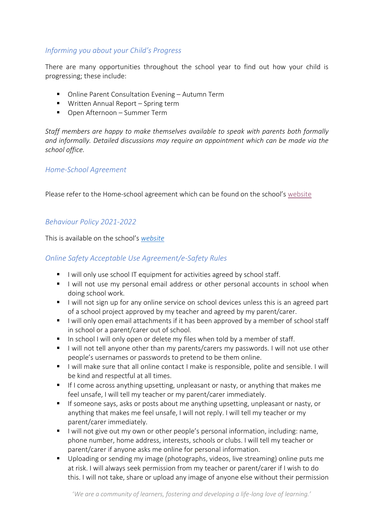## *Informing you about your Child's Progress*

There are many opportunities throughout the school year to find out how your child is progressing; these include:

- Online Parent Consultation Evening Autumn Term
- Written Annual Report Spring term
- Open Afternoon Summer Term

*Staff members are happy to make themselves available to speak with parents both formally and informally. Detailed discussions may require an appointment which can be made via the school office.* 

#### *Home-School Agreement*

Please refer to the Home-school agreement which can be found on the school's [website](https://www.nascotwoodjm.herts.sch.uk/page/?title=New+to+Y3+September+2022&pid=96)

## *Behaviour Policy 2021-2022*

This is available on the school's *[website](https://www.nascotwoodjm.herts.sch.uk/_site/data/files/documents/7831D8B168B57B1FF7EEEE1B3E6A1236.pdf)*

## *Online Safety Acceptable Use Agreement/e-Safety Rules*

- $\blacksquare$  I will only use school IT equipment for activities agreed by school staff.
- I will not use my personal email address or other personal accounts in school when doing school work.
- I will not sign up for any online service on school devices unless this is an agreed part of a school project approved by my teacher and agreed by my parent/carer.
- I will only open email attachments if it has been approved by a member of school staff in school or a parent/carer out of school.
- In school I will only open or delete my files when told by a member of staff.
- I will not tell anyone other than my parents/carers my passwords. I will not use other people's usernames or passwords to pretend to be them online.
- I I will make sure that all online contact I make is responsible, polite and sensible. I will be kind and respectful at all times.
- If I come across anything upsetting, unpleasant or nasty, or anything that makes me feel unsafe, I will tell my teacher or my parent/carer immediately.
- If someone says, asks or posts about me anything upsetting, unpleasant or nasty, or anything that makes me feel unsafe, I will not reply. I will tell my teacher or my parent/carer immediately.
- I will not give out my own or other people's personal information, including: name, phone number, home address, interests, schools or clubs. I will tell my teacher or parent/carer if anyone asks me online for personal information.
- Uploading or sending my image (photographs, videos, live streaming) online puts me at risk. I will always seek permission from my teacher or parent/carer if I wish to do this. I will not take, share or upload any image of anyone else without their permission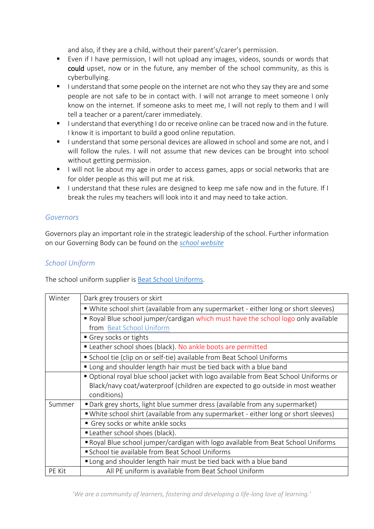and also, if they are a child, without their parent's/carer's permission.

- Even if I have permission, I will not upload any images, videos, sounds or words that could upset, now or in the future, any member of the school community, as this is cyberbullying.
- I understand that some people on the internet are not who they say they are and some people are not safe to be in contact with. I will not arrange to meet someone I only know on the internet. If someone asks to meet me, I will not reply to them and I will tell a teacher or a parent/carer immediately.
- I understand that everything I do or receive online can be traced now and in the future. I know it is important to build a good online reputation.
- I understand that some personal devices are allowed in school and some are not, and I will follow the rules. I will not assume that new devices can be brought into school without getting permission.
- I will not lie about my age in order to access games, apps or social networks that are for older people as this will put me at risk.
- I understand that these rules are designed to keep me safe now and in the future. If I break the rules my teachers will look into it and may need to take action.

#### *Governors*

Governors play an important role in the strategic leadership of the school. Further information on our Governing Body can be found on the *[school website](https://www.nascotwoodjm.herts.sch.uk/page/?title=Governors&pid=9)*

## *School Uniform*

The school uniform supplier is [Beat School Uniforms.](https://beatschooluniforms.co.uk/)

| Winter | Dark grey trousers or skirt                                                                                    |  |  |
|--------|----------------------------------------------------------------------------------------------------------------|--|--|
|        | ■ White school shirt (available from any supermarket - either long or short sleeves)                           |  |  |
|        | Royal Blue school jumper/cardigan which must have the school logo only available                               |  |  |
|        | from Beat School Uniform<br>Grey socks or tights<br>Leather school shoes (black). No ankle boots are permitted |  |  |
|        |                                                                                                                |  |  |
|        |                                                                                                                |  |  |
|        | School tie (clip on or self-tie) available from Beat School Uniforms                                           |  |  |
|        | " Long and shoulder length hair must be tied back with a blue band                                             |  |  |
|        | Optional royal blue school jacket with logo available from Beat School Uniforms or                             |  |  |
|        | Black/navy coat/waterproof (children are expected to go outside in most weather<br>conditions)                 |  |  |
| Summer | "Dark grey shorts, light blue summer dress (available from any supermarket)                                    |  |  |
|        | "White school shirt (available from any supermarket - either long or short sleeves)                            |  |  |
|        | Grey socks or white ankle socks                                                                                |  |  |
|        | Leather school shoes (black).                                                                                  |  |  |
|        | Royal Blue school jumper/cardigan with logo available from Beat School Uniforms                                |  |  |
|        | School tie available from Beat School Uniforms                                                                 |  |  |
|        | " Long and shoulder length hair must be tied back with a blue band                                             |  |  |
| PE Kit | All PE uniform is available from Beat School Uniform                                                           |  |  |

'*We are a community of learners, fostering and developing a life-long love of learning.'*